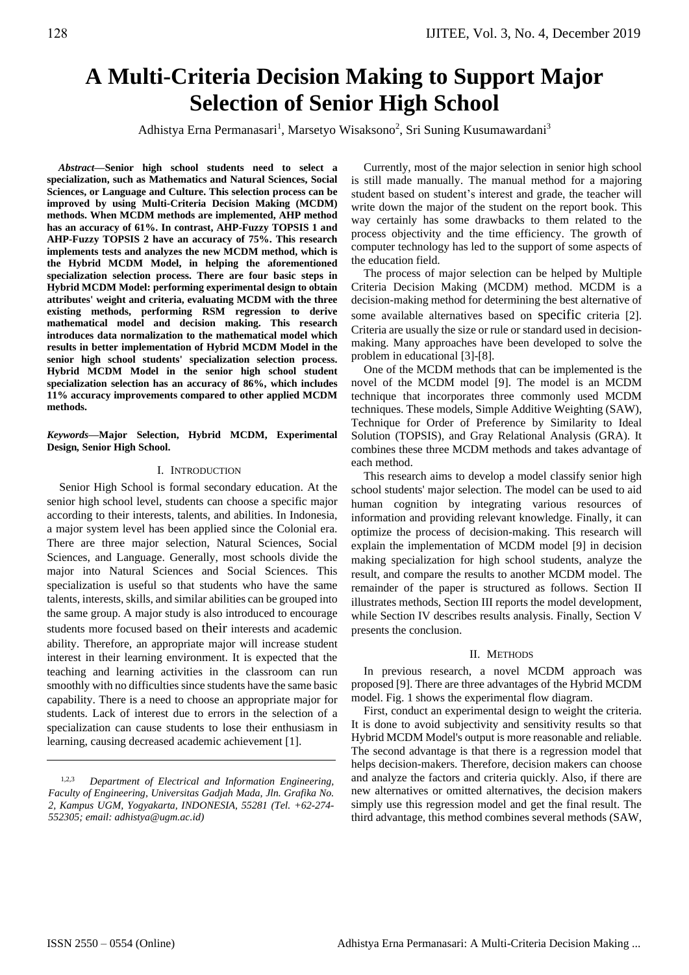# **A Multi-Criteria Decision Making to Support Major Selection of Senior High School**

Adhistya Erna Permanasari<sup>1</sup>, Marsetyo Wisaksono<sup>2</sup>, Sri Suning Kusumawardani<sup>3</sup>

*Abstract***—Senior high school students need to select a specialization, such as Mathematics and Natural Sciences, Social Sciences, or Language and Culture. This selection process can be improved by using Multi-Criteria Decision Making (MCDM) methods. When MCDM methods are implemented, AHP method has an accuracy of 61%. In contrast, AHP-Fuzzy TOPSIS 1 and AHP-Fuzzy TOPSIS 2 have an accuracy of 75%. This research implements tests and analyzes the new MCDM method, which is the Hybrid MCDM Model, in helping the aforementioned specialization selection process. There are four basic steps in Hybrid MCDM Model: performing experimental design to obtain attributes' weight and criteria, evaluating MCDM with the three existing methods, performing RSM regression to derive mathematical model and decision making. This research introduces data normalization to the mathematical model which results in better implementation of Hybrid MCDM Model in the senior high school students' specialization selection process. Hybrid MCDM Model in the senior high school student specialization selection has an accuracy of 86%, which includes 11% accuracy improvements compared to other applied MCDM methods.**

*Keywords***—Major Selection, Hybrid MCDM, Experimental Design***,* **Senior High School.**

## I. INTRODUCTION

Senior High School is formal secondary education. At the senior high school level, students can choose a specific major according to their interests, talents, and abilities. In Indonesia, a major system level has been applied since the Colonial era. There are three major selection, Natural Sciences, Social Sciences, and Language. Generally, most schools divide the major into Natural Sciences and Social Sciences. This specialization is useful so that students who have the same talents, interests, skills, and similar abilities can be grouped into the same group. A major study is also introduced to encourage students more focused based on their interests and academic ability. Therefore, an appropriate major will increase student interest in their learning environment. It is expected that the teaching and learning activities in the classroom can run smoothly with no difficulties since students have the same basic capability. There is a need to choose an appropriate major for students. Lack of interest due to errors in the selection of a specialization can cause students to lose their enthusiasm in learning, causing decreased academic achievement [1].

Currently, most of the major selection in senior high school is still made manually. The manual method for a majoring student based on student's interest and grade, the teacher will write down the major of the student on the report book. This way certainly has some drawbacks to them related to the process objectivity and the time efficiency. The growth of computer technology has led to the support of some aspects of the education field.

The process of major selection can be helped by Multiple Criteria Decision Making (MCDM) method. MCDM is a decision-making method for determining the best alternative of some available alternatives based on specific criteria [2]. Criteria are usually the size or rule or standard used in decisionmaking. Many approaches have been developed to solve the problem in educational [3]-[8].

One of the MCDM methods that can be implemented is the novel of the MCDM model [9]. The model is an MCDM technique that incorporates three commonly used MCDM techniques. These models, Simple Additive Weighting (SAW), Technique for Order of Preference by Similarity to Ideal Solution (TOPSIS), and Gray Relational Analysis (GRA). It combines these three MCDM methods and takes advantage of each method.

This research aims to develop a model classify senior high school students' major selection. The model can be used to aid human cognition by integrating various resources of information and providing relevant knowledge. Finally, it can optimize the process of decision-making. This research will explain the implementation of MCDM model [9] in decision making specialization for high school students, analyze the result, and compare the results to another MCDM model. The remainder of the paper is structured as follows. Section II illustrates methods, Section III reports the model development, while Section IV describes results analysis. Finally, Section V presents the conclusion.

## II. METHODS

In previous research, a novel MCDM approach was proposed [9]. There are three advantages of the Hybrid MCDM model. Fig. 1 shows the experimental flow diagram.

First, conduct an experimental design to weight the criteria. It is done to avoid subjectivity and sensitivity results so that Hybrid MCDM Model's output is more reasonable and reliable. The second advantage is that there is a regression model that helps decision-makers. Therefore, decision makers can choose and analyze the factors and criteria quickly. Also, if there are new alternatives or omitted alternatives, the decision makers simply use this regression model and get the final result. The third advantage, this method combines several methods (SAW,

<sup>1,2,3</sup> *Department of Electrical and Information Engineering, Faculty of Engineering, Universitas Gadjah Mada, Jln. Grafika No. 2, Kampus UGM, Yogyakarta, INDONESIA, 55281 (Tel. +62-274- 552305; email: adhistya@ugm.ac.id)*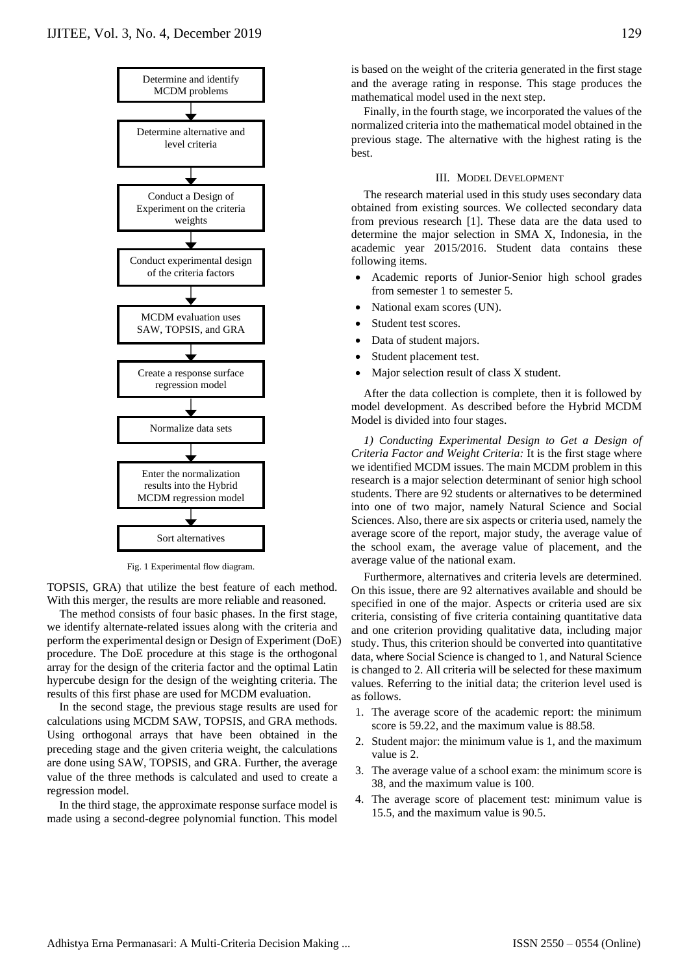

Fig. 1 Experimental flow diagram.

TOPSIS, GRA) that utilize the best feature of each method. With this merger, the results are more reliable and reasoned.

The method consists of four basic phases. In the first stage, we identify alternate-related issues along with the criteria and perform the experimental design or Design of Experiment (DoE) procedure. The DoE procedure at this stage is the orthogonal array for the design of the criteria factor and the optimal Latin hypercube design for the design of the weighting criteria. The results of this first phase are used for MCDM evaluation.

In the second stage, the previous stage results are used for calculations using MCDM SAW, TOPSIS, and GRA methods. Using orthogonal arrays that have been obtained in the preceding stage and the given criteria weight, the calculations are done using SAW, TOPSIS, and GRA. Further, the average value of the three methods is calculated and used to create a regression model.

In the third stage, the approximate response surface model is made using a second-degree polynomial function. This model

is based on the weight of the criteria generated in the first stage and the average rating in response. This stage produces the mathematical model used in the next step.

Finally, in the fourth stage, we incorporated the values of the normalized criteria into the mathematical model obtained in the previous stage. The alternative with the highest rating is the best.

#### III. MODEL DEVELOPMENT

The research material used in this study uses secondary data obtained from existing sources. We collected secondary data from previous research [1]. These data are the data used to determine the major selection in SMA X, Indonesia, in the academic year 2015/2016. Student data contains these following items.

- Academic reports of Junior-Senior high school grades from semester 1 to semester 5.
- National exam scores (UN).
- Student test scores.
- Data of student majors.
- Student placement test.
- Major selection result of class X student.

After the data collection is complete, then it is followed by model development. As described before the Hybrid MCDM Model is divided into four stages.

*1) Conducting Experimental Design to Get a Design of Criteria Factor and Weight Criteria:* It is the first stage where we identified MCDM issues. The main MCDM problem in this research is a major selection determinant of senior high school students. There are 92 students or alternatives to be determined into one of two major, namely Natural Science and Social Sciences. Also, there are six aspects or criteria used, namely the average score of the report, major study, the average value of the school exam, the average value of placement, and the average value of the national exam.

Furthermore, alternatives and criteria levels are determined. On this issue, there are 92 alternatives available and should be specified in one of the major. Aspects or criteria used are six criteria, consisting of five criteria containing quantitative data and one criterion providing qualitative data, including major study. Thus, this criterion should be converted into quantitative data, where Social Science is changed to 1, and Natural Science is changed to 2. All criteria will be selected for these maximum values. Referring to the initial data; the criterion level used is as follows.

- 1. The average score of the academic report: the minimum score is 59.22, and the maximum value is 88.58.
- 2. Student major: the minimum value is 1, and the maximum value is 2.
- 3. The average value of a school exam: the minimum score is 38, and the maximum value is 100.
- 4. The average score of placement test: minimum value is 15.5, and the maximum value is 90.5.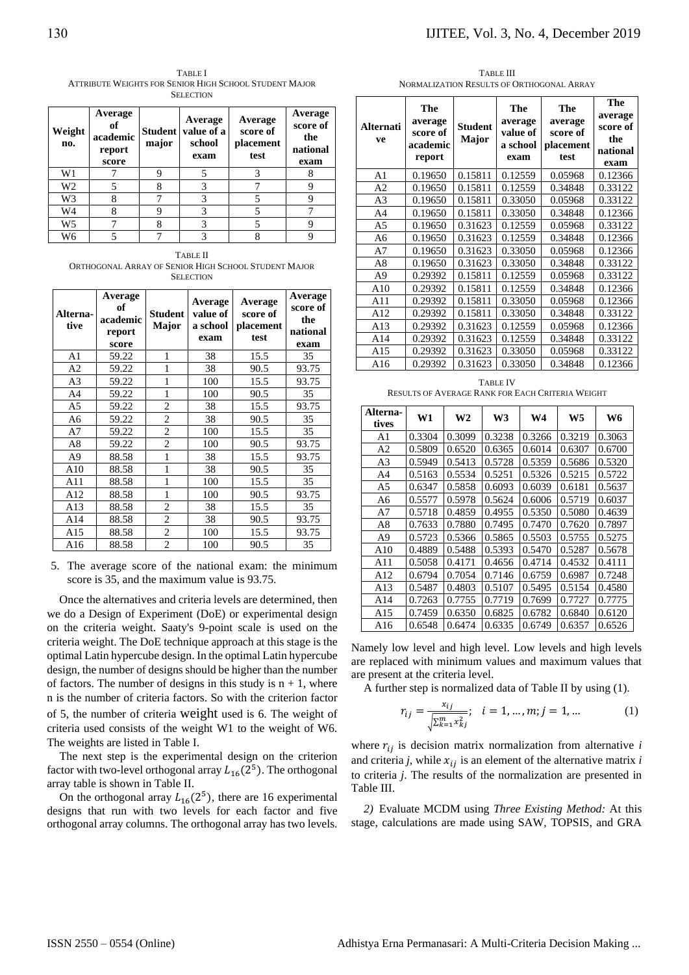TABLE I ATTRIBUTE WEIGHTS FOR SENIOR HIGH SCHOOL STUDENT MAJOR SELECTION

| Weight<br>no. | Average<br>of<br>academic<br>report<br>score | <b>Student</b><br>major | Average<br>value of a<br>school<br>exam | Average<br>score of<br>placement<br>test | Average<br>score of<br>the<br>national<br>exam |
|---------------|----------------------------------------------|-------------------------|-----------------------------------------|------------------------------------------|------------------------------------------------|
| W1            |                                              | Q                       | 5                                       | 3                                        |                                                |
| W2            |                                              | 8                       | 3                                       |                                          | q                                              |
| W3            |                                              |                         |                                         |                                          |                                                |
| W4            |                                              | Q                       | 3                                       |                                          |                                                |
| W5            |                                              |                         |                                         |                                          |                                                |
| W6            |                                              |                         |                                         | o                                        |                                                |

TABLE II ORTHOGONAL ARRAY OF SENIOR HIGH SCHOOL STUDENT MAJOR **SELECTION** 

| Alterna-<br>tive | Average<br>of<br>academic<br>report<br>score | <b>Student</b><br>Major | Average<br>value of<br>a school<br>exam | Average<br>score of<br>placement<br>test | Average<br>score of<br>the<br>national<br>exam |
|------------------|----------------------------------------------|-------------------------|-----------------------------------------|------------------------------------------|------------------------------------------------|
| A1               | 59.22                                        | 1                       | 38                                      | 15.5                                     | 35                                             |
| A2               | 59.22                                        | 1                       | 38                                      | 90.5                                     | 93.75                                          |
| A <sub>3</sub>   | 59.22                                        | 1                       | 100                                     | 15.5                                     | 93.75                                          |
| A4               | 59.22                                        | 1                       | 100                                     | 90.5                                     | 35                                             |
| A5               | 59.22                                        | $\overline{2}$          | 38                                      | 15.5                                     | 93.75                                          |
| A6               | 59.22                                        | $\overline{2}$          | 38                                      | 90.5                                     | 35                                             |
| A7               | 59.22                                        | 2                       | 100                                     | 15.5                                     | 35                                             |
| A8               | 59.22                                        | $\overline{2}$          | 100                                     | 90.5                                     | 93.75                                          |
| A9               | 88.58                                        | 1                       | 38                                      | 15.5                                     | 93.75                                          |
| A10              | 88.58                                        | 1                       | 38                                      | 90.5                                     | 35                                             |
| A11              | 88.58                                        | 1                       | 100                                     | 15.5                                     | 35                                             |
| A12              | 88.58                                        | 1                       | 100                                     | 90.5                                     | 93.75                                          |
| A13              | 88.58                                        | 2                       | 38                                      | 15.5                                     | 35                                             |
| A14              | 88.58                                        | $\overline{c}$          | 38                                      | 90.5                                     | 93.75                                          |
| A15              | 88.58                                        | $\mathfrak{2}$          | 100                                     | 15.5                                     | 93.75                                          |
| A16              | 88.58                                        | $\overline{c}$          | 100                                     | 90.5                                     | 35                                             |

5. The average score of the national exam: the minimum score is 35, and the maximum value is 93.75.

Once the alternatives and criteria levels are determined, then we do a Design of Experiment (DoE) or experimental design on the criteria weight. Saaty's 9-point scale is used on the criteria weight. The DoE technique approach at this stage is the optimal Latin hypercube design. In the optimal Latin hypercube design, the number of designs should be higher than the number of factors. The number of designs in this study is  $n + 1$ , where n is the number of criteria factors. So with the criterion factor of 5, the number of criteria weight used is 6. The weight of criteria used consists of the weight W1 to the weight of W6. The weights are listed in Table I.

The next step is the experimental design on the criterion factor with two-level orthogonal array  $L_{16}(2^5)$ . The orthogonal array table is shown in Table II.

On the orthogonal array  $L_{16}(2^5)$ , there are 16 experimental designs that run with two levels for each factor and five orthogonal array columns. The orthogonal array has two levels.

TABLE III NORMALIZATION RESULTS OF ORTHOGONAL ARRAY

| <b>Alternati</b><br>ve                                                     | The<br>average<br>score of<br>academic<br>report | <b>Student</b><br>Major | <b>The</b><br>average<br>value of<br>a school<br>exam | The<br>average<br>score of<br>placement<br>test | <b>The</b><br>average<br>score of<br>the<br>national<br>exam |  |
|----------------------------------------------------------------------------|--------------------------------------------------|-------------------------|-------------------------------------------------------|-------------------------------------------------|--------------------------------------------------------------|--|
| A <sub>1</sub>                                                             | 0.19650                                          | 0.15811                 | 0.12559                                               | 0.05968                                         | 0.12366                                                      |  |
| A <sub>2</sub>                                                             | 0.19650                                          | 0.15811                 | 0.12559                                               | 0.34848                                         | 0.33122                                                      |  |
| A <sub>3</sub>                                                             | 0.19650                                          | 0.15811                 | 0.33050                                               | 0.05968                                         | 0.33122                                                      |  |
| A <sub>4</sub>                                                             | 0.19650                                          | 0.15811                 | 0.33050                                               | 0.34848                                         | 0.12366                                                      |  |
| A <sub>5</sub>                                                             | 0.19650                                          | 0.31623                 | 0.12559                                               | 0.05968                                         | 0.33122                                                      |  |
| A6                                                                         | 0.19650                                          | 0.31623                 | 0.12559                                               | 0.34848                                         | 0.12366                                                      |  |
| A7                                                                         | 0.19650                                          | 0.31623                 | 0.33050                                               | 0.05968                                         | 0.12366                                                      |  |
| A8                                                                         | 0.19650                                          | 0.31623                 | 0.33050                                               | 0.34848                                         | 0.33122                                                      |  |
| A <sup>9</sup>                                                             | 0.29392                                          | 0.15811                 | 0.12559                                               | 0.05968                                         | 0.33122                                                      |  |
| A10                                                                        | 0.29392                                          | 0.15811                 | 0.12559                                               | 0.34848                                         | 0.12366                                                      |  |
| A11                                                                        | 0.29392                                          | 0.15811                 | 0.33050                                               | 0.05968                                         | 0.12366                                                      |  |
| A12                                                                        | 0.29392                                          | 0.15811                 | 0.33050                                               | 0.34848                                         | 0.33122                                                      |  |
| A13                                                                        | 0.29392                                          | 0.31623                 | 0.12559                                               | 0.05968                                         | 0.12366                                                      |  |
| A14                                                                        | 0.29392                                          | 0.31623                 | 0.12559                                               | 0.34848                                         | 0.33122                                                      |  |
| A15                                                                        | 0.29392                                          | 0.31623                 | 0.33050                                               | 0.05968                                         | 0.33122                                                      |  |
| A16                                                                        | 0.29392                                          | 0.31623                 | 0.33050                                               | 0.34848                                         | 0.12366                                                      |  |
| <b>TABLE IV</b><br><b>RESULTS OF AVERAGE RANK FOR EACH CRITERIA WEIGHT</b> |                                                  |                         |                                                       |                                                 |                                                              |  |

| Alterna-<br>tives | W1     | W2     | W3     | W4     | W5     | W6     |
|-------------------|--------|--------|--------|--------|--------|--------|
| A1                | 0.3304 | 0.3099 | 0.3238 | 0.3266 | 0.3219 | 0.3063 |
| A2                | 0.5809 | 0.6520 | 0.6365 | 0.6014 | 0.6307 | 0.6700 |
| A <sub>3</sub>    | 0.5949 | 0.5413 | 0.5728 | 0.5359 | 0.5686 | 0.5320 |
| A4                | 0.5163 | 0.5534 | 0.5251 | 0.5326 | 0.5215 | 0.5722 |
| A5                | 0.6347 | 0.5858 | 0.6093 | 0.6039 | 0.6181 | 0.5637 |
| A6                | 0.5577 | 0.5978 | 0.5624 | 0.6006 | 0.5719 | 0.6037 |
| A7                | 0.5718 | 0.4859 | 0.4955 | 0.5350 | 0.5080 | 0.4639 |
| A8                | 0.7633 | 0.7880 | 0.7495 | 0.7470 | 0.7620 | 0.7897 |
| A9                | 0.5723 | 0.5366 | 0.5865 | 0.5503 | 0.5755 | 0.5275 |
| A10               | 0.4889 | 0.5488 | 0.5393 | 0.5470 | 0.5287 | 0.5678 |
| A11               | 0.5058 | 0.4171 | 0.4656 | 0.4714 | 0.4532 | 0.4111 |
| A12               | 0.6794 | 0.7054 | 0.7146 | 0.6759 | 0.6987 | 0.7248 |
| A13               | 0.5487 | 0.4803 | 0.5107 | 0.5495 | 0.5154 | 0.4580 |
| A14               | 0.7263 | 0.7755 | 0.7719 | 0.7699 | 0.7727 | 0.7775 |
| A15               | 0.7459 | 0.6350 | 0.6825 | 0.6782 | 0.6840 | 0.6120 |
| A16               | 0.6548 | 0.6474 | 0.6335 | 0.6749 | 0.6357 | 0.6526 |

Namely low level and high level. Low levels and high levels are replaced with minimum values and maximum values that are present at the criteria level.

A further step is normalized data of Table II by using (1).

$$
r_{ij} = \frac{x_{ij}}{\sqrt{\sum_{k=1}^{m} x_{kj}^2}}; \quad i = 1, ..., m; j = 1, ... \tag{1}
$$

where  $r_{ij}$  is decision matrix normalization from alternative  $i$ and criteria *j*, while  $x_{ij}$  is an element of the alternative matrix *i* to criteria *j*. The results of the normalization are presented in Table III.

*2)* Evaluate MCDM using *Three Existing Method:* At this stage, calculations are made using SAW, TOPSIS, and GRA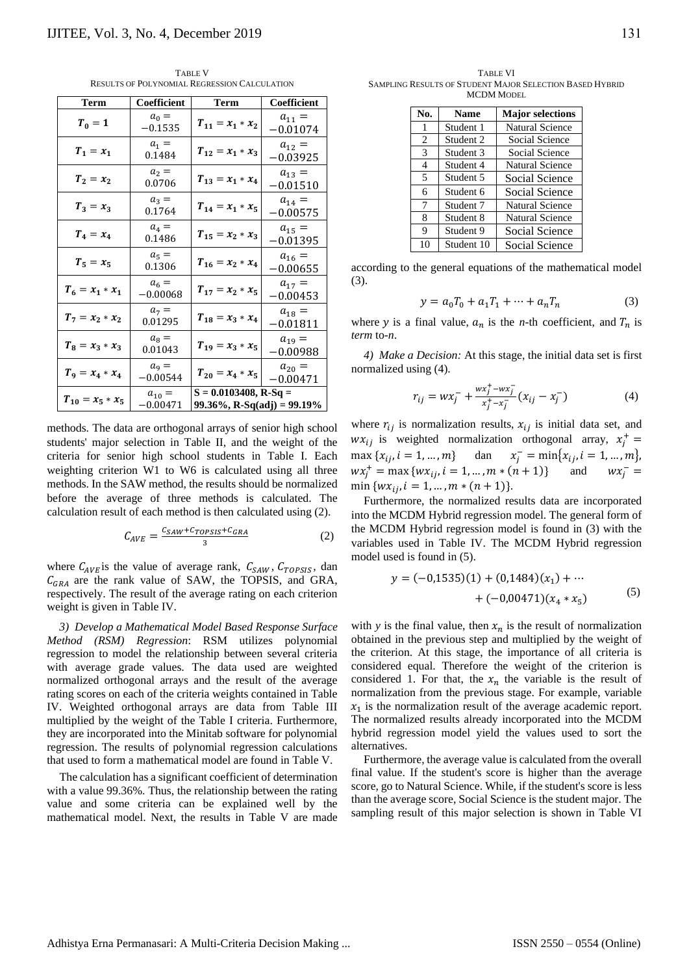TABLE V RESULTS OF POLYNOMIAL REGRESSION CALCULATION

| Term                 | Coefficient              | Term                                                   | Coefficient              |  |
|----------------------|--------------------------|--------------------------------------------------------|--------------------------|--|
| $T_0=1$              | $a_0 =$<br>$-0.1535$     | $T_{11} = x_1 * x_2$                                   | $a_{11} =$<br>$-0.01074$ |  |
| $T_1 = x_1$          | $a_1 =$<br>0.1484        | $T_{12} = x_1 * x_3$                                   | $a_{12} =$<br>$-0.03925$ |  |
| $T_2 = x_2$          | $a_2 =$<br>0.0706        | $T_{13} = x_1 * x_4$                                   | $a_{13} =$<br>$-0.01510$ |  |
| $T_3 = x_3$          | $a_3 =$<br>0.1764        | $T_{14} = x_1 * x_5$                                   | $a_{14} =$<br>$-0.00575$ |  |
| $T_4 = x_4$          | $a_4 =$<br>0.1486        | $T_{15} = x_2 * x_3$                                   | $a_{15} =$<br>$-0.01395$ |  |
| $T_5 = x_5$          | $a_5 =$<br>0.1306        | $T_{16} = x_2 * x_4$                                   | $a_{16} =$<br>$-0.00655$ |  |
| $T_6 = x_1 * x_1$    | $a_6 =$<br>$-0.00068$    | $T_{17} = x_2 * x_5$                                   | $a_{17} =$<br>$-0.00453$ |  |
| $T_7 = x_2 * x_2$    | $a_7 =$<br>0.01295       | $T_{18} = x_3 * x_4$                                   | $a_{18} =$<br>$-0.01811$ |  |
| $T_8 = x_3 * x_3$    | $a_{8} =$<br>0.01043     | $T_{19} = x_3 * x_5$                                   | $a_{19} =$<br>$-0.00988$ |  |
| $T_9 = x_4 * x_4$    | $a_9 =$<br>$-0.00544$    | $T_{20} = x_4 * x_5$                                   | $a_{20} =$<br>$-0.00471$ |  |
| $T_{10} = x_5 * x_5$ | $a_{10} =$<br>$-0.00471$ | $S = 0.0103408$ , R-Sq =<br>99.36%, R-Sq(adj) = 99.19% |                          |  |

methods. The data are orthogonal arrays of senior high school students' major selection in Table II, and the weight of the criteria for senior high school students in Table I. Each weighting criterion W1 to W6 is calculated using all three methods. In the SAW method, the results should be normalized before the average of three methods is calculated. The calculation result of each method is then calculated using (2).

$$
C_{AVE} = \frac{c_{SAW} + c_{TOPSIS} + c_{GRA}}{3} \tag{2}
$$

where  $C_{AVE}$  is the value of average rank,  $C_{SAW}$ ,  $C_{TOPSIS}$ , dan  $C_{GRA}$  are the rank value of SAW, the TOPSIS, and GRA, respectively. The result of the average rating on each criterion weight is given in Table IV.

*3) Develop a Mathematical Model Based Response Surface Method (RSM) Regression*: RSM utilizes polynomial regression to model the relationship between several criteria with average grade values. The data used are weighted normalized orthogonal arrays and the result of the average rating scores on each of the criteria weights contained in Table IV. Weighted orthogonal arrays are data from Table III multiplied by the weight of the Table I criteria. Furthermore, they are incorporated into the Minitab software for polynomial regression. The results of polynomial regression calculations that used to form a mathematical model are found in Table V.

The calculation has a significant coefficient of determination with a value 99.36%. Thus, the relationship between the rating value and some criteria can be explained well by the mathematical model. Next, the results in Table V are made

TABLE VI SAMPLING RESULTS OF STUDENT MAJOR SELECTION BASED HYBRID MCDM MODEL

| No. | <b>Name</b> | <b>Major selections</b> |  |  |
|-----|-------------|-------------------------|--|--|
| 1   | Student 1   | Natural Science         |  |  |
| 2   | Student 2   | Social Science          |  |  |
| 3   | Student 3   | Social Science          |  |  |
| 4   | Student 4   | <b>Natural Science</b>  |  |  |
| 5   | Student 5   | Social Science          |  |  |
| 6   | Student 6   | Social Science          |  |  |
| 7   | Student 7   | <b>Natural Science</b>  |  |  |
| 8   | Student 8   | <b>Natural Science</b>  |  |  |
| 9   | Student 9   | Social Science          |  |  |
| 10  | Student 10  | Social Science          |  |  |

according to the general equations of the mathematical model (3).

$$
y = a_0 T_0 + a_1 T_1 + \dots + a_n T_n \tag{3}
$$

where y is a final value,  $a_n$  is the *n*-th coefficient, and  $T_n$  is *term* to-*n*.

*4) Make a Decision:* At this stage, the initial data set is first normalized using (4).

$$
r_{ij} = wx_j^- + \frac{wx_j^+ - wx_j^-}{x_j^+ - x_j^-}(x_{ij} - x_j^-)
$$
 (4)

where  $r_{ij}$  is normalization results,  $x_{ij}$  is initial data set, and  $wx_{ij}$  is weighted normalization orthogonal array,  $x_j^+$  =  $\max \{x_{ij}, i = 1, ..., m\}$  dan  $x_j^- = \min \{x_{ij}, i = 1, ..., m\}$ ,  $wx_j^+ = \max \{ wx_{ij}, i = 1, ..., m * (n + 1) \}$  and  $wx_j^- =$ min  $\{wx_{ii}, i = 1, ..., m * (n + 1)\}.$ 

Furthermore, the normalized results data are incorporated into the MCDM Hybrid regression model. The general form of the MCDM Hybrid regression model is found in (3) with the variables used in Table IV. The MCDM Hybrid regression model used is found in (5).

$$
y = (-0.1535)(1) + (0.1484)(x1) + \cdots + (-0.00471)(x4 * x5)
$$
 (5)

with *y* is the final value, then  $x_n$  is the result of normalization obtained in the previous step and multiplied by the weight of the criterion. At this stage, the importance of all criteria is considered equal. Therefore the weight of the criterion is considered 1. For that, the  $x_n$  the variable is the result of normalization from the previous stage. For example, variable  $x_1$  is the normalization result of the average academic report. The normalized results already incorporated into the MCDM hybrid regression model yield the values used to sort the alternatives.

Furthermore, the average value is calculated from the overall final value. If the student's score is higher than the average score, go to Natural Science. While, if the student's score is less than the average score, Social Science is the student major. The sampling result of this major selection is shown in Table VI